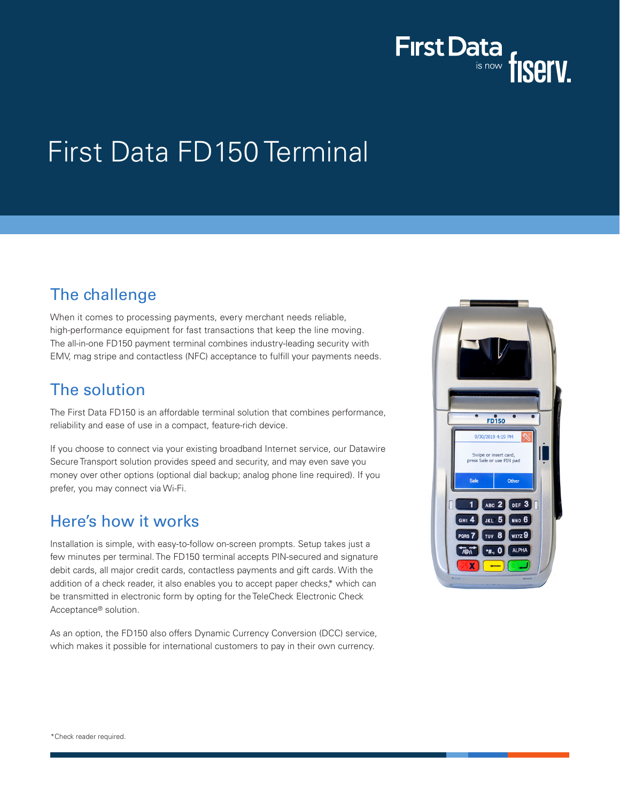

# First Data FD150 Terminal

# The challenge

When it comes to processing payments, every merchant needs reliable, high-performance equipment for fast transactions that keep the line moving. The all-in-one FD150 payment terminal combines industry-leading security with EMV, mag stripe and contactless (NFC) acceptance to fulfill your payments needs.

## The solution

The First Data FD150 is an affordable terminal solution that combines performance, reliability and ease of use in a compact, feature-rich device.

If you choose to connect via your existing broadband Internet service, our Datawire Secure Transport solution provides speed and security, and may even save you money over other options (optional dial backup; analog phone line required). If you prefer, you may connect via Wi-Fi.

### Here's how it works

Installation is simple, with easy-to-follow on-screen prompts. Setup takes just a few minutes per terminal. The FD150 terminal accepts PIN-secured and signature debit cards, all major credit cards, contactless payments and gift cards. With the addition of a check reader, it also enables you to accept paper checks,\* which can be transmitted in electronic form by opting for the TeleCheck Electronic Check Acceptance® solution.

As an option, the FD150 also offers Dynamic Currency Conversion (DCC) service, which makes it possible for international customers to pay in their own currency.